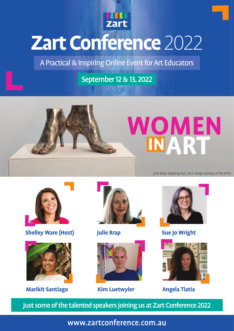

## **Zart Conference** 2022

A Practical & Inspiring Online Event for Art Educators

## September 12 & 13,2022





**Shelley Ware (Host) <b>Julie Rrap Sue Jo Wright** 



**Marikit Santiago Kim Luetwyler Angela Tiatia**









Just some of the talented speakers joining us at Zart Conference 2022

www.zartconference.com.au